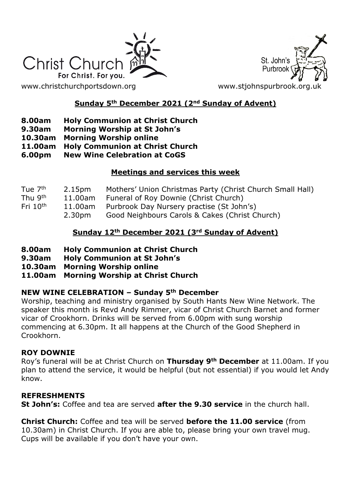

St. John's Purbroo

[www.christchurchportsdown.org](http://www.christchurchportsdown.org/) www.stjohnspurbrook.org

## **Sunday 5th December 2021 (2nd Sunday of Advent)**

- **8.00am Holy Communion at Christ Church**
- **9.30am Morning Worship at St John's**
- **10.30am Morning Worship online**
- **11.00am Holy Communion at Christ Church**
- **6.00pm New Wine Celebration at CoGS**

## **Meetings and services this week**

| 2.15 <sub>pm</sub> | Mothers' Union Christmas Party (Christ Church Small Hall) |
|--------------------|-----------------------------------------------------------|
| 11.00am            | Funeral of Roy Downie (Christ Church)                     |
| 11.00am            | Purbrook Day Nursery practise (St John's)                 |
| 2.30pm             | Good Neighbours Carols & Cakes (Christ Church)            |
|                    |                                                           |

## **Sunday 12th December 2021 (3rd Sunday of Advent)**

- **8.00am Holy Communion at Christ Church**
- **9.30am Holy Communion at St John's**
- **10.30am Morning Worship online**
- **11.00am Morning Worship at Christ Church**

### **NEW WINE CELEBRATION – Sunday 5th December**

Worship, teaching and ministry organised by South Hants New Wine Network. The speaker this month is Revd Andy Rimmer, vicar of Christ Church Barnet and former vicar of Crookhorn. Drinks will be served from 6.00pm with sung worship commencing at 6.30pm. It all happens at the Church of the Good Shepherd in Crookhorn.

### **ROY DOWNIE**

Roy's funeral will be at Christ Church on **Thursday 9th December** at 11.00am. If you plan to attend the service, it would be helpful (but not essential) if you would let Andy know.

### **REFRESHMENTS**

**St John's:** Coffee and tea are served **after the 9.30 service** in the church hall.

**Christ Church:** Coffee and tea will be served **before the 11.00 service** (from 10.30am) in Christ Church. If you are able to, please bring your own travel mug. Cups will be available if you don't have your own.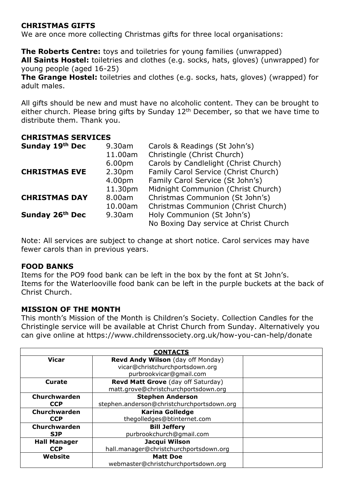### **CHRISTMAS GIFTS**

We are once more collecting Christmas gifts for three local organisations:

**The Roberts Centre:** toys and toiletries for young families (unwrapped) **All Saints Hostel:** toiletries and clothes (e.g. socks, hats, gloves) (unwrapped) for young people (aged 16-25)

**The Grange Hostel:** toiletries and clothes (e.g. socks, hats, gloves) (wrapped) for adult males.

All gifts should be new and must have no alcoholic content. They can be brought to either church. Please bring gifts by Sunday 12<sup>th</sup> December, so that we have time to distribute them. Thank you.

#### **CHRISTMAS SERVICES**

| Sunday 19th Dec      | 9.30am             | Carols & Readings (St John's)          |  |
|----------------------|--------------------|----------------------------------------|--|
|                      | 11.00am            | Christingle (Christ Church)            |  |
|                      | 6.00 <sub>pm</sub> | Carols by Candlelight (Christ Church)  |  |
| <b>CHRISTMAS EVE</b> | 2.30 <sub>pm</sub> | Family Carol Service (Christ Church)   |  |
|                      | 4.00pm             | Family Carol Service (St John's)       |  |
|                      | 11.30pm            | Midnight Communion (Christ Church)     |  |
| <b>CHRISTMAS DAY</b> | 8.00am             | Christmas Communion (St John's)        |  |
|                      | 10.00am            | Christmas Communion (Christ Church)    |  |
| Sunday 26th Dec      | 9.30am             | Holy Communion (St John's)             |  |
|                      |                    | No Boxing Day service at Christ Church |  |

Note: All services are subject to change at short notice. Carol services may have fewer carols than in previous years.

#### **FOOD BANKS**

Items for the PO9 food bank can be left in the box by the font at St John's. Items for the Waterlooville food bank can be left in the purple buckets at the back of Christ Church.

#### **MISSION OF THE MONTH**

This month's Mission of the Month is Children's Society. Collection Candles for the Christingle service will be available at Christ Church from Sunday. Alternatively you can give online at https://www.childrenssociety.org.uk/how-you-can-help/donate

| <b>CONTACTS</b>     |                                            |  |  |  |
|---------------------|--------------------------------------------|--|--|--|
| <b>Vicar</b>        | Revd Andy Wilson (day off Monday)          |  |  |  |
|                     | vicar@christchurchportsdown.org            |  |  |  |
|                     | purbrookvicar@gmail.com                    |  |  |  |
| Curate              | Revd Matt Grove (day off Saturday)         |  |  |  |
|                     | matt.grove@christchurchportsdown.org       |  |  |  |
| Churchwarden        | <b>Stephen Anderson</b>                    |  |  |  |
| <b>CCP</b>          | stephen.anderson@christchurchportsdown.org |  |  |  |
| Churchwarden        | <b>Karina Golledge</b>                     |  |  |  |
| <b>CCP</b>          | thegolledges@btinternet.com                |  |  |  |
| Churchwarden        | <b>Bill Jeffery</b>                        |  |  |  |
| <b>SJP</b>          | purbrookchurch@gmail.com                   |  |  |  |
| <b>Hall Manager</b> | Jacqui Wilson                              |  |  |  |
| <b>CCP</b>          | hall.manager@christchurchportsdown.org     |  |  |  |
| Website             | <b>Matt Doe</b>                            |  |  |  |
|                     | webmaster@christchurchportsdown.org        |  |  |  |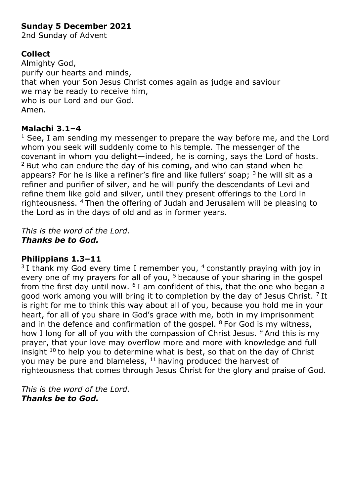## **Sunday 5 December 2021**

2nd Sunday of Advent

# **Collect**

Almighty God, purify our hearts and minds, that when your Son Jesus Christ comes again as judge and saviour we may be ready to receive him, who is our Lord and our God. Amen.

## **Malachi 3.1–4**

 $1$  See, I am sending my messenger to prepare the way before me, and the Lord whom you seek will suddenly come to his temple. The messenger of the covenant in whom you delight—indeed, he is coming, says the Lord of hosts.  $2$  But who can endure the day of his coming, and who can stand when he appears? For he is like a refiner's fire and like fullers' soap;  $3$  he will sit as a refiner and purifier of silver, and he will purify the descendants of Levi and refine them like gold and silver, until they present offerings to the Lord in righteousness. <sup>4</sup>Then the offering of Judah and Jerusalem will be pleasing to the Lord as in the days of old and as in former years.

*This is the word of the Lord. Thanks be to God.*

## **Philippians 1.3–11**

 $3$  I thank my God every time I remember you,  $4$  constantly praying with joy in every one of my prayers for all of you, <sup>5</sup> because of your sharing in the gospel from the first day until now.  $6I$  am confident of this, that the one who began a good work among you will bring it to completion by the day of Jesus Christ.  $7$  It is right for me to think this way about all of you, because you hold me in your heart, for all of you share in God's grace with me, both in my imprisonment and in the defence and confirmation of the gospel.  $8$  For God is my witness, how I long for all of you with the compassion of Christ Jesus.  $9$  And this is my prayer, that your love may overflow more and more with knowledge and full insight  $10$  to help you to determine what is best, so that on the day of Christ you may be pure and blameless,  $11$  having produced the harvest of righteousness that comes through Jesus Christ for the glory and praise of God.

*This is the word of the Lord. Thanks be to God.*